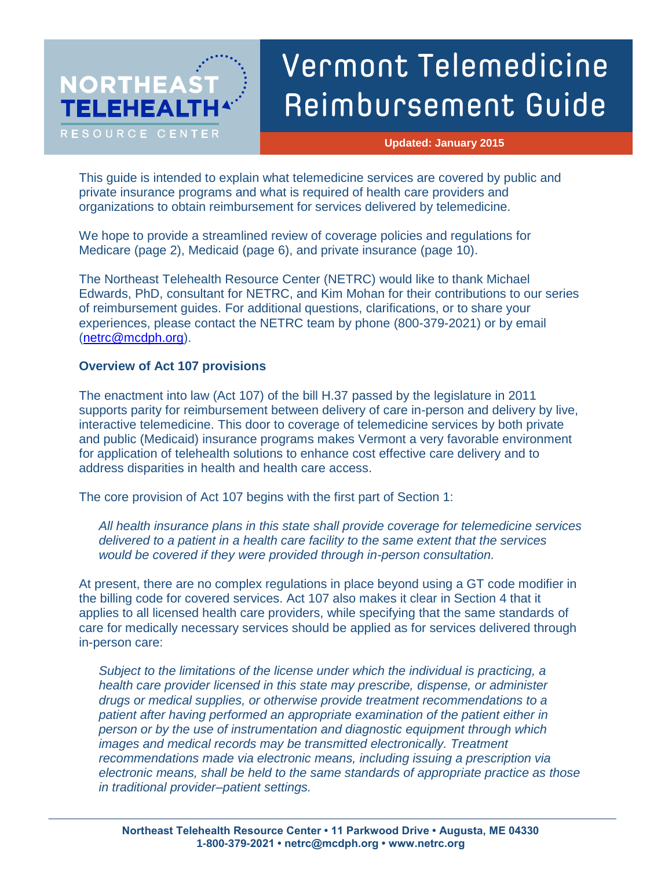# **NORTHEAS TELEHEAL** RESOURCE CENTER

# Vermont Telemedicine Reimbursement Guide

**Updated: January 2015**

This guide is intended to explain what telemedicine services are covered by public and private insurance programs and what is required of health care providers and organizations to obtain reimbursement for services delivered by telemedicine.

We hope to provide a streamlined review of coverage policies and regulations for Medicare (page 2), Medicaid (page 6), and private insurance (page 10).

The Northeast Telehealth Resource Center (NETRC) would like to thank Michael Edwards, PhD, consultant for NETRC, and Kim Mohan for their contributions to our series of reimbursement guides. For additional questions, clarifications, or to share your experiences, please contact the NETRC team by phone (800-379-2021) or by email [\(netrc@mcdph.org\)](mailto:netrc@mcdph.org).

# **Overview of Act 107 provisions**

The enactment into law (Act 107) of the bill H.37 passed by the legislature in 2011 supports parity for reimbursement between delivery of care in-person and delivery by live, interactive telemedicine. This door to coverage of telemedicine services by both private and public (Medicaid) insurance programs makes Vermont a very favorable environment for application of telehealth solutions to enhance cost effective care delivery and to address disparities in health and health care access.

The core provision of Act 107 begins with the first part of Section 1:

*All health insurance plans in this state shall provide coverage for telemedicine services delivered to a patient in a health care facility to the same extent that the services would be covered if they were provided through in-person consultation.*

At present, there are no complex regulations in place beyond using a GT code modifier in the billing code for covered services. Act 107 also makes it clear in Section 4 that it applies to all licensed health care providers, while specifying that the same standards of care for medically necessary services should be applied as for services delivered through in-person care:

*Subject to the limitations of the license under which the individual is practicing, a health care provider licensed in this state may prescribe, dispense, or administer drugs or medical supplies, or otherwise provide treatment recommendations to a patient after having performed an appropriate examination of the patient either in person or by the use of instrumentation and diagnostic equipment through which images and medical records may be transmitted electronically. Treatment recommendations made via electronic means, including issuing a prescription via electronic means, shall be held to the same standards of appropriate practice as those in traditional provider–patient settings.*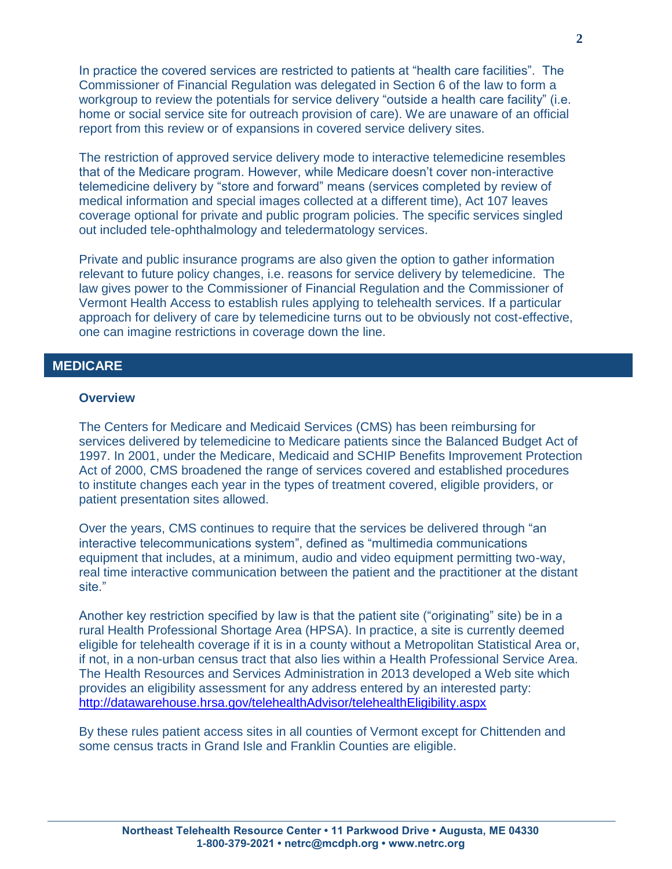In practice the covered services are restricted to patients at "health care facilities". The Commissioner of Financial Regulation was delegated in Section 6 of the law to form a workgroup to review the potentials for service delivery "outside a health care facility" (i.e. home or social service site for outreach provision of care). We are unaware of an official report from this review or of expansions in covered service delivery sites.

The restriction of approved service delivery mode to interactive telemedicine resembles that of the Medicare program. However, while Medicare doesn't cover non-interactive telemedicine delivery by "store and forward" means (services completed by review of medical information and special images collected at a different time), Act 107 leaves coverage optional for private and public program policies. The specific services singled out included tele-ophthalmology and teledermatology services.

Private and public insurance programs are also given the option to gather information relevant to future policy changes, i.e. reasons for service delivery by telemedicine. The law gives power to the Commissioner of Financial Regulation and the Commissioner of Vermont Health Access to establish rules applying to telehealth services. If a particular approach for delivery of care by telemedicine turns out to be obviously not cost-effective, one can imagine restrictions in coverage down the line.

# **1. MEDICARE MEDICARE**

#### **Overview**

The Centers for Medicare and Medicaid Services (CMS) has been reimbursing for services delivered by telemedicine to Medicare patients since the Balanced Budget Act of 1997. In 2001, under the Medicare, Medicaid and SCHIP Benefits Improvement Protection Act of 2000, CMS broadened the range of services covered and established procedures to institute changes each year in the types of treatment covered, eligible providers, or patient presentation sites allowed.

Over the years, CMS continues to require that the services be delivered through "an interactive telecommunications system", defined as "multimedia communications equipment that includes, at a minimum, audio and video equipment permitting two-way, real time interactive communication between the patient and the practitioner at the distant site."

Another key restriction specified by law is that the patient site ("originating" site) be in a rural Health Professional Shortage Area (HPSA). In practice, a site is currently deemed eligible for telehealth coverage if it is in a county without a Metropolitan Statistical Area or, if not, in a non-urban census tract that also lies within a Health Professional Service Area. The Health Resources and Services Administration in 2013 developed a Web site which provides an eligibility assessment for any address entered by an interested party: <http://datawarehouse.hrsa.gov/telehealthAdvisor/telehealthEligibility.aspx>

By these rules patient access sites in all counties of Vermont except for Chittenden and some census tracts in Grand Isle and Franklin Counties are eligible.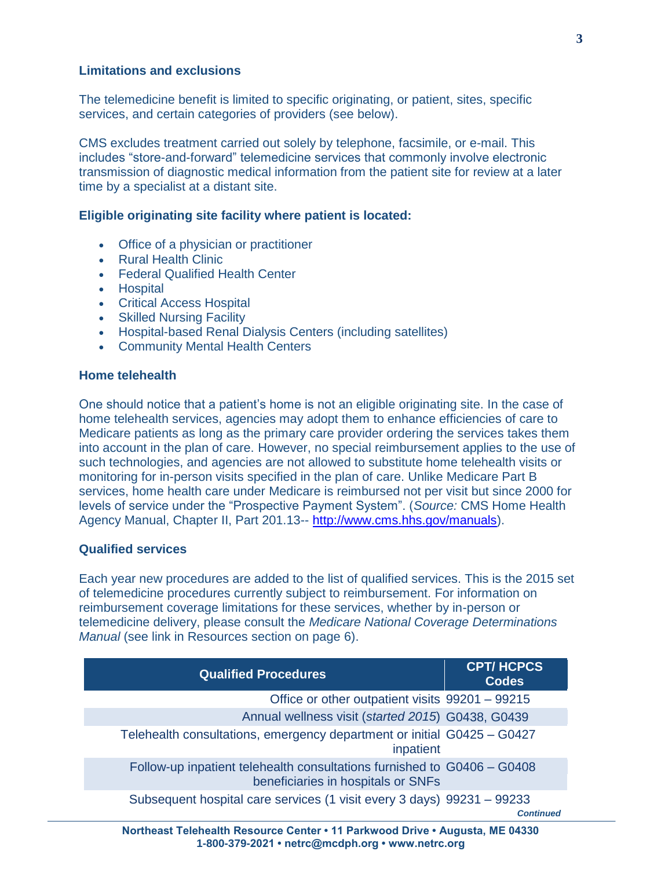#### **Limitations and exclusions**

The telemedicine benefit is limited to specific originating, or patient, sites, specific services, and certain categories of providers (see below).

CMS excludes treatment carried out solely by telephone, facsimile, or e-mail. This includes "store-and-forward" telemedicine services that commonly involve electronic transmission of diagnostic medical information from the patient site for review at a later time by a specialist at a distant site.

#### **Eligible originating site facility where patient is located:**

- Office of a physician or practitioner
- Rural Health Clinic
- Federal Qualified Health Center
- Hospital
- Critical Access Hospital
- Skilled Nursing Facility
- Hospital-based Renal Dialysis Centers (including satellites)
- Community Mental Health Centers

#### **Home telehealth**

One should notice that a patient's home is not an eligible originating site. In the case of home telehealth services, agencies may adopt them to enhance efficiencies of care to Medicare patients as long as the primary care provider ordering the services takes them into account in the plan of care. However, no special reimbursement applies to the use of such technologies, and agencies are not allowed to substitute home telehealth visits or monitoring for in-person visits specified in the plan of care. Unlike Medicare Part B services, home health care under Medicare is reimbursed not per visit but since 2000 for levels of service under the "Prospective Payment System". (*Source:* CMS Home Health Agency Manual, Chapter II, Part 201.13-- [http://www.cms.hhs.gov/manuals\)](http://www.cms.hhs.gov/manuals).

# **Qualified services**

Each year new procedures are added to the list of qualified services. This is the 2015 set of telemedicine procedures currently subject to reimbursement. For information on reimbursement coverage limitations for these services, whether by in-person or telemedicine delivery, please consult the *Medicare National Coverage Determinations Manual* (see link in Resources section on page 6).

| <b>Qualified Procedures</b>                                                                                   | <b>CPT/HCPCS</b><br><b>Codes</b> |  |
|---------------------------------------------------------------------------------------------------------------|----------------------------------|--|
| Office or other outpatient visits 99201 - 99215                                                               |                                  |  |
| Annual wellness visit (started 2015) G0438, G0439                                                             |                                  |  |
| Telehealth consultations, emergency department or initial G0425 - G0427<br>inpatient                          |                                  |  |
| Follow-up inpatient telehealth consultations furnished to G0406 - G0408<br>beneficiaries in hospitals or SNFs |                                  |  |
| Subsequent hospital care services (1 visit every 3 days) 99231 – 99233                                        | <b>Continued</b>                 |  |
| Northeast Telehealth Resource Center • 11 Parkwood Drive • Augusta, ME 04330                                  |                                  |  |

**1-800-379-2021 • netrc@mcdph.org • www.netrc.org**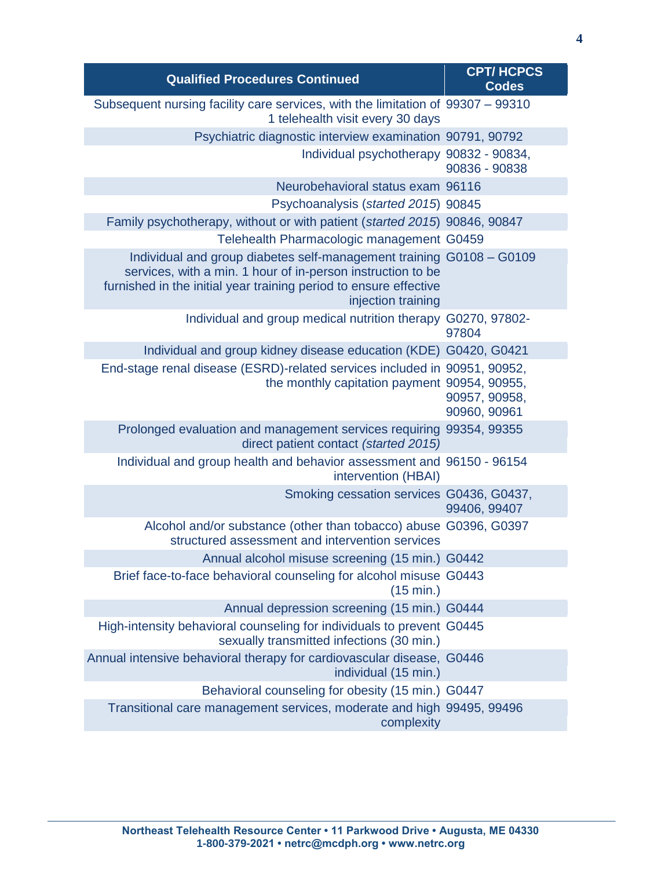| <b>Qualified Procedures Continued</b>                                                                                                                                                                                          | <b>CPT/HCPCS</b><br><b>Codes</b> |
|--------------------------------------------------------------------------------------------------------------------------------------------------------------------------------------------------------------------------------|----------------------------------|
| Subsequent nursing facility care services, with the limitation of 99307 - 99310<br>1 telehealth visit every 30 days                                                                                                            |                                  |
| Psychiatric diagnostic interview examination 90791, 90792                                                                                                                                                                      |                                  |
| Individual psychotherapy 90832 - 90834,                                                                                                                                                                                        | 90836 - 90838                    |
| Neurobehavioral status exam 96116                                                                                                                                                                                              |                                  |
| Psychoanalysis (started 2015) 90845                                                                                                                                                                                            |                                  |
| Family psychotherapy, without or with patient (started 2015) 90846, 90847                                                                                                                                                      |                                  |
| Telehealth Pharmacologic management G0459                                                                                                                                                                                      |                                  |
| Individual and group diabetes self-management training G0108 - G0109<br>services, with a min. 1 hour of in-person instruction to be<br>furnished in the initial year training period to ensure effective<br>injection training |                                  |
| Individual and group medical nutrition therapy G0270, 97802-                                                                                                                                                                   | 97804                            |
| Individual and group kidney disease education (KDE) G0420, G0421                                                                                                                                                               |                                  |
| End-stage renal disease (ESRD)-related services included in 90951, 90952,<br>the monthly capitation payment 90954, 90955,                                                                                                      | 90957, 90958,<br>90960, 90961    |
| Prolonged evaluation and management services requiring 99354, 99355<br>direct patient contact (started 2015)                                                                                                                   |                                  |
| Individual and group health and behavior assessment and 96150 - 96154<br>intervention (HBAI)                                                                                                                                   |                                  |
| Smoking cessation services G0436, G0437,                                                                                                                                                                                       | 99406, 99407                     |
| Alcohol and/or substance (other than tobacco) abuse G0396, G0397<br>structured assessment and intervention services                                                                                                            |                                  |
| Annual alcohol misuse screening (15 min.) G0442                                                                                                                                                                                |                                  |
| Brief face-to-face behavioral counseling for alcohol misuse G0443<br>(15 min.)                                                                                                                                                 |                                  |
| Annual depression screening (15 min.) G0444                                                                                                                                                                                    |                                  |
| High-intensity behavioral counseling for individuals to prevent G0445<br>sexually transmitted infections (30 min.)                                                                                                             |                                  |
| Annual intensive behavioral therapy for cardiovascular disease, G0446<br>individual (15 min.)                                                                                                                                  |                                  |
| Behavioral counseling for obesity (15 min.) G0447                                                                                                                                                                              |                                  |
| Transitional care management services, moderate and high 99495, 99496<br>complexity                                                                                                                                            |                                  |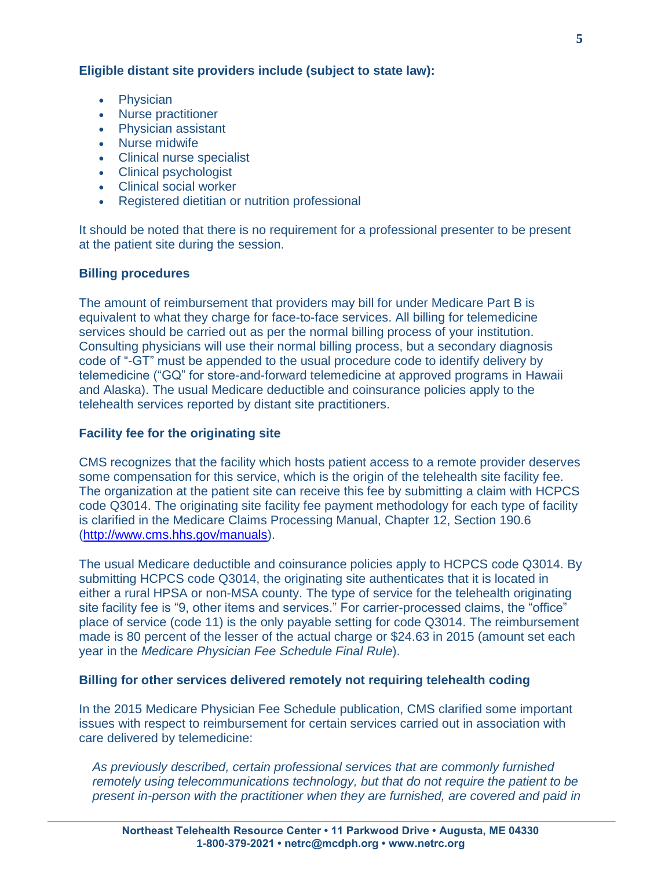**Eligible distant site providers include (subject to state law):** 

- Physician
- Nurse practitioner
- Physician assistant
- Nurse midwife
- Clinical nurse specialist
- Clinical psychologist
- Clinical social worker
- Registered dietitian or nutrition professional

It should be noted that there is no requirement for a professional presenter to be present at the patient site during the session.

# **Billing procedures**

The amount of reimbursement that providers may bill for under Medicare Part B is equivalent to what they charge for face-to-face services. All billing for telemedicine services should be carried out as per the normal billing process of your institution. Consulting physicians will use their normal billing process, but a secondary diagnosis code of "-GT" must be appended to the usual procedure code to identify delivery by telemedicine ("GQ" for store-and-forward telemedicine at approved programs in Hawaii and Alaska). The usual Medicare deductible and coinsurance policies apply to the telehealth services reported by distant site practitioners.

# **Facility fee for the originating site**

CMS recognizes that the facility which hosts patient access to a remote provider deserves some compensation for this service, which is the origin of the telehealth site facility fee. The organization at the patient site can receive this fee by submitting a claim with HCPCS code Q3014. The originating site facility fee payment methodology for each type of facility is clarified in the Medicare Claims Processing Manual, Chapter 12, Section 190.6 [\(http://www.cms.hhs.gov/manuals\)](http://www.cms.hhs.gov/manuals).

The usual Medicare deductible and coinsurance policies apply to HCPCS code Q3014. By submitting HCPCS code Q3014, the originating site authenticates that it is located in either a rural HPSA or non-MSA county. The type of service for the telehealth originating site facility fee is "9, other items and services." For carrier-processed claims, the "office" place of service (code 11) is the only payable setting for code Q3014. The reimbursement made is 80 percent of the lesser of the actual charge or \$24.63 in 2015 (amount set each year in the *Medicare Physician Fee Schedule Final Rule*).

# **Billing for other services delivered remotely not requiring telehealth coding**

In the 2015 Medicare Physician Fee Schedule publication, CMS clarified some important issues with respect to reimbursement for certain services carried out in association with care delivered by telemedicine:

*As previously described, certain professional services that are commonly furnished remotely using telecommunications technology, but that do not require the patient to be present in-person with the practitioner when they are furnished, are covered and paid in*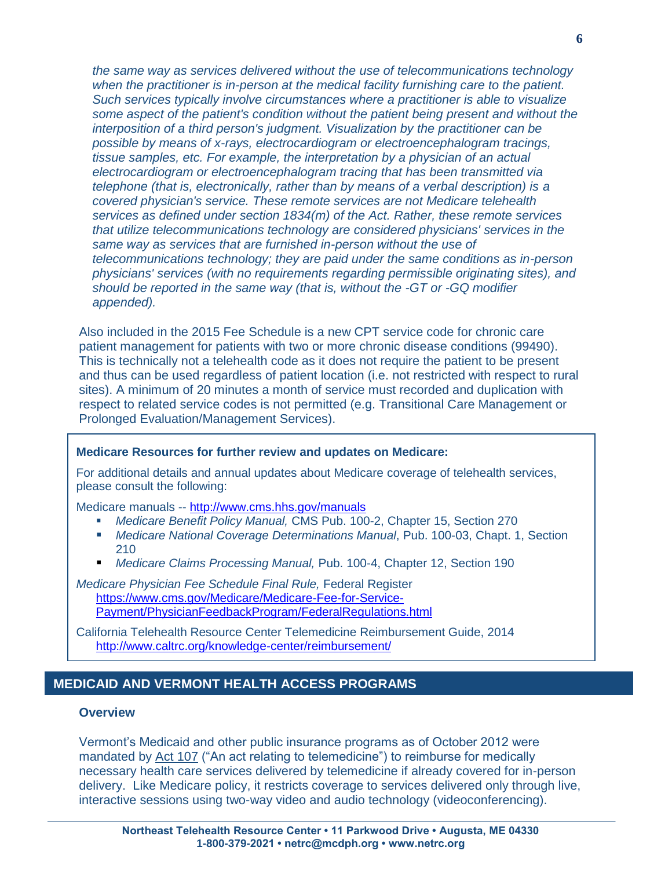*the same way as services delivered without the use of telecommunications technology when the practitioner is in-person at the medical facility furnishing care to the patient. Such services typically involve circumstances where a practitioner is able to visualize some aspect of the patient's condition without the patient being present and without the interposition of a third person's judgment. Visualization by the practitioner can be possible by means of x-rays, electrocardiogram or electroencephalogram tracings, tissue samples, etc. For example, the interpretation by a physician of an actual electrocardiogram or electroencephalogram tracing that has been transmitted via telephone (that is, electronically, rather than by means of a verbal description) is a covered physician's service. These remote services are not Medicare telehealth services as defined under section 1834(m) of the Act. Rather, these remote services that utilize telecommunications technology are considered physicians' services in the same way as services that are furnished in-person without the use of telecommunications technology; they are paid under the same conditions as in-person physicians' services (with no requirements regarding permissible originating sites), and should be reported in the same way (that is, without the -GT or -GQ modifier appended).*

Also included in the 2015 Fee Schedule is a new CPT service code for chronic care patient management for patients with two or more chronic disease conditions (99490). This is technically not a telehealth code as it does not require the patient to be present and thus can be used regardless of patient location (i.e. not restricted with respect to rural sites). A minimum of 20 minutes a month of service must recorded and duplication with respect to related service codes is not permitted (e.g. Transitional Care Management or Prolonged Evaluation/Management Services).

#### **Medicare Resources for further review and updates on Medicare:**

For additional details and annual updates about Medicare coverage of telehealth services, please consult the following:

Medicare manuals -- <http://www.cms.hhs.gov/manuals>

- *Medicare Benefit Policy Manual,* CMS Pub. 100-2, Chapter 15, Section 270
- *Medicare National Coverage Determinations Manual*, Pub. 100-03, Chapt. 1, Section 210
- *Medicare Claims Processing Manual,* Pub. 100-4, Chapter 12, Section 190

*Medicare Physician Fee Schedule Final Rule,* Federal Register [https://www.cms.gov/Medicare/Medicare-Fee-for-Service-](https://www.cms.gov/Medicare/Medicare-Fee-for-Service-Payment/PhysicianFeedbackProgram/FederalRegulations.html)[Payment/PhysicianFeedbackProgram/FederalRegulations.html](https://www.cms.gov/Medicare/Medicare-Fee-for-Service-Payment/PhysicianFeedbackProgram/FederalRegulations.html)

California Telehealth Resource Center Telemedicine Reimbursement Guide, 2014 <http://www.caltrc.org/knowledge-center/reimbursement/>

# **MEDICAID AND VERMONT HEALTH ACCESS PROGRAMS**

#### **Overview**

Vermont's Medicaid and other public insurance programs as of October 2012 were mandated by [Act 107](http://www.leg.state.vt.us/DOCS/2012/ACTS/ACT107.PDF) ("An act relating to telemedicine") to reimburse for medically necessary health care services delivered by telemedicine if already covered for in-person delivery. Like Medicare policy, it restricts coverage to services delivered only through live, interactive sessions using two-way video and audio technology (videoconferencing).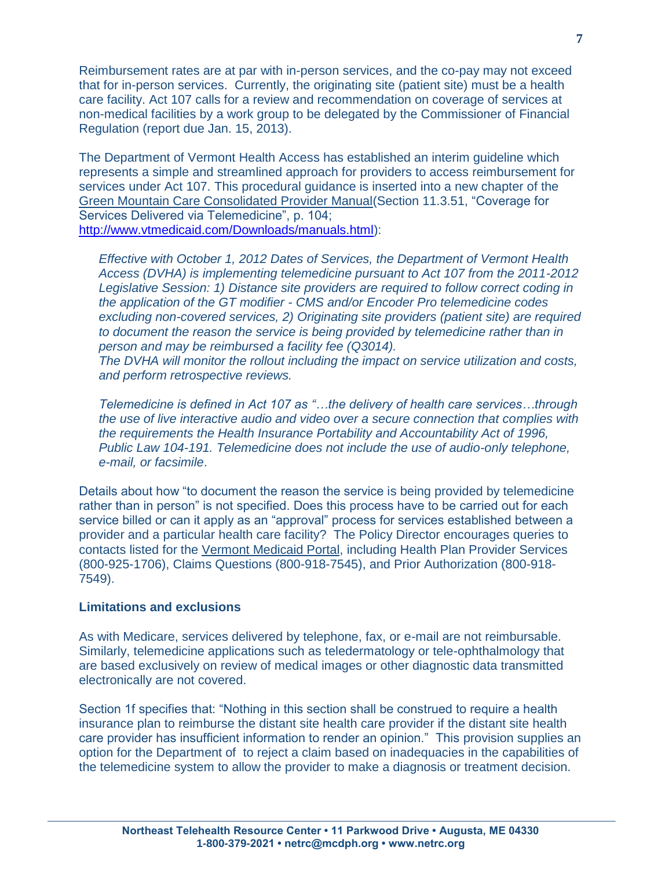Reimbursement rates are at par with in-person services, and the co-pay may not exceed that for in-person services. Currently, the originating site (patient site) must be a health care facility. Act 107 calls for a review and recommendation on coverage of services at non-medical facilities by a work group to be delegated by the Commissioner of Financial Regulation (report due Jan. 15, 2013).

The Department of Vermont Health Access has established an interim guideline which represents a simple and streamlined approach for providers to access reimbursement for services under Act 107. This procedural guidance is inserted into a new chapter of the [Green Mountain Care Consolidated Provider Manual\(](http://vtmedicaid.com/Downloads/manuals/New%20Consolidated%20Manual/ProvManual%20Consolidated%2010-1-12.pdfhttp:/vtmedicaid.com/Downloads/manuals/New%20Consolidated%20Manual/ProvManual%20Consolidated%2010-1-12.pdf)Section 11.3.51, "Coverage for Services Delivered via Telemedicine", p. 104; [http://www.vtmedicaid.com/Downloads/manuals.html\)](http://www.vtmedicaid.com/Downloads/manuals.html):

*Effective with October 1, 2012 Dates of Services, the Department of Vermont Health Access (DVHA) is implementing telemedicine pursuant to Act 107 from the 2011-2012 Legislative Session: 1) Distance site providers are required to follow correct coding in the application of the GT modifier - CMS and/or Encoder Pro telemedicine codes excluding non-covered services, 2) Originating site providers (patient site) are required to document the reason the service is being provided by telemedicine rather than in person and may be reimbursed a facility fee (Q3014).* 

*The DVHA will monitor the rollout including the impact on service utilization and costs, and perform retrospective reviews.* 

*Telemedicine is defined in Act 107 as "…the delivery of health care services…through the use of live interactive audio and video over a secure connection that complies with the requirements the Health Insurance Portability and Accountability Act of 1996, Public Law 104-191. Telemedicine does not include the use of audio-only telephone, e-mail, or facsimile*.

Details about how "to document the reason the service is being provided by telemedicine rather than in person" is not specified. Does this process have to be carried out for each service billed or can it apply as an "approval" process for services established between a provider and a particular health care facility? The Policy Director encourages queries to contacts listed for the [Vermont Medicaid Portal,](http://www.vtmedicaid.com/Information/contacts.html) including Health Plan Provider Services (800-925-1706), Claims Questions (800-918-7545), and Prior Authorization (800-918- 7549).

#### **Limitations and exclusions**

As with Medicare, services delivered by telephone, fax, or e-mail are not reimbursable. Similarly, telemedicine applications such as teledermatology or tele-ophthalmology that are based exclusively on review of medical images or other diagnostic data transmitted electronically are not covered.

Section 1f specifies that: "Nothing in this section shall be construed to require a health insurance plan to reimburse the distant site health care provider if the distant site health care provider has insufficient information to render an opinion." This provision supplies an option for the Department of to reject a claim based on inadequacies in the capabilities of the telemedicine system to allow the provider to make a diagnosis or treatment decision.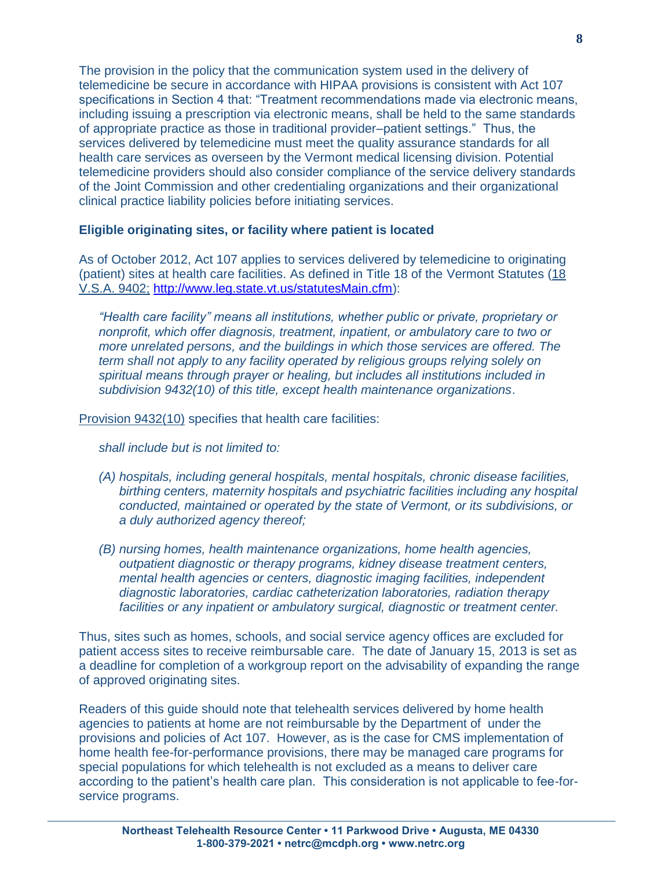The provision in the policy that the communication system used in the delivery of telemedicine be secure in accordance with HIPAA provisions is consistent with Act 107 specifications in Section 4 that: "Treatment recommendations made via electronic means, including issuing a prescription via electronic means, shall be held to the same standards of appropriate practice as those in traditional provider–patient settings." Thus, the services delivered by telemedicine must meet the quality assurance standards for all health care services as overseen by the Vermont medical licensing division. Potential telemedicine providers should also consider compliance of the service delivery standards of the Joint Commission and other credentialing organizations and their organizational clinical practice liability policies before initiating services.

# **Eligible originating sites, or facility where patient is located**

As of October 2012, Act 107 applies to services delivered by telemedicine to originating (patient) sites at health care facilities. As defined in Title 18 of the Vermont Statutes [\(18](http://www.leg.state.vt.us/statutes/fullsection.cfm?Title=18&Chapter=221&Section=09402)  [V.S.A. 9402;](http://www.leg.state.vt.us/statutes/fullsection.cfm?Title=18&Chapter=221&Section=09402) [http://www.leg.state.vt.us/statutesMain.cfm\)](http://www.leg.state.vt.us/statutesMain.cfm):

*"Health care facility" means all institutions, whether public or private, proprietary or nonprofit, which offer diagnosis, treatment, inpatient, or ambulatory care to two or more unrelated persons, and the buildings in which those services are offered. The term shall not apply to any facility operated by religious groups relying solely on spiritual means through prayer or healing, but includes all institutions included in subdivision 9432(10) of this title, except health maintenance organizations*.

Provision [9432\(10\)](http://www.leg.state.vt.us/statutes/fullsection.cfm?Title=18&Chapter=221&Section=09432) specifies that health care facilities:

*shall include but is not limited to:*

- *(A) hospitals, including general hospitals, mental hospitals, chronic disease facilities, birthing centers, maternity hospitals and psychiatric facilities including any hospital conducted, maintained or operated by the state of Vermont, or its subdivisions, or a duly authorized agency thereof;*
- *(B) nursing homes, health maintenance organizations, home health agencies, outpatient diagnostic or therapy programs, kidney disease treatment centers, mental health agencies or centers, diagnostic imaging facilities, independent diagnostic laboratories, cardiac catheterization laboratories, radiation therapy facilities or any inpatient or ambulatory surgical, diagnostic or treatment center.*

Thus, sites such as homes, schools, and social service agency offices are excluded for patient access sites to receive reimbursable care. The date of January 15, 2013 is set as a deadline for completion of a workgroup report on the advisability of expanding the range of approved originating sites.

Readers of this guide should note that telehealth services delivered by home health agencies to patients at home are not reimbursable by the Department of under the provisions and policies of Act 107. However, as is the case for CMS implementation of home health fee-for-performance provisions, there may be managed care programs for special populations for which telehealth is not excluded as a means to deliver care according to the patient's health care plan. This consideration is not applicable to fee-forservice programs.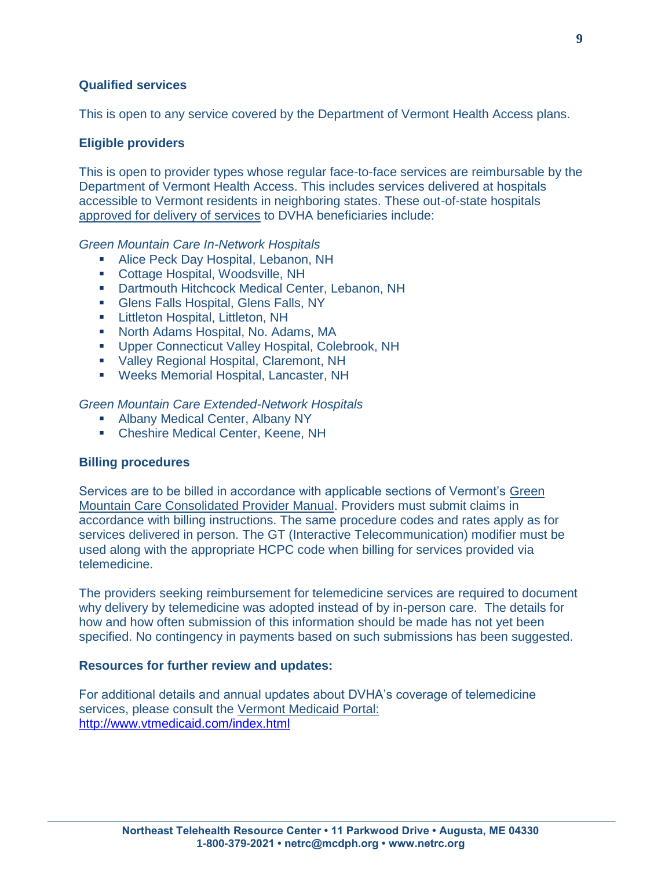# **Qualified services**

This is open to any service covered by the Department of Vermont Health Access plans.

#### **Eligible providers**

This is open to provider types whose regular face-to-face services are reimbursable by the Department of Vermont Health Access. This includes services delivered at hospitals accessible to Vermont residents in neighboring states. These out-of-state hospitals [approved for delivery of services](http://dvha.vermont.gov/for-providers/green-mountain-care-network) to DVHA beneficiaries include:

*Green Mountain Care In-Network Hospitals*

- **Alice Peck Day Hospital, Lebanon, NH**
- Cottage Hospital, Woodsville, NH
- Dartmouth Hitchcock Medical Center, Lebanon, NH
- Glens Falls Hospital, Glens Falls, NY
- **E.** Littleton Hospital, Littleton, NH
- North Adams Hospital, No. Adams, MA
- Upper Connecticut Valley Hospital, Colebrook, NH
- Valley Regional Hospital, Claremont, NH
- Weeks Memorial Hospital, Lancaster, NH

*Green Mountain Care Extended-Network Hospitals*

- **Albany Medical Center, Albany NY**
- Cheshire Medical Center, Keene, NH

#### **Billing procedures**

Services are to be billed in accordance with applicable sections of Vermont's [Green](http://vtmedicaid.com/Downloads/manuals/New%20Consolidated%20Manual/ProvManual%20Consolidated%2010-1-12.pdf)  [Mountain Care Consolidated Provider Manual.](http://vtmedicaid.com/Downloads/manuals/New%20Consolidated%20Manual/ProvManual%20Consolidated%2010-1-12.pdf) Providers must submit claims in accordance with billing instructions. The same procedure codes and rates apply as for services delivered in person. The GT (Interactive Telecommunication) modifier must be used along with the appropriate HCPC code when billing for services provided via telemedicine.

The providers seeking reimbursement for telemedicine services are required to document why delivery by telemedicine was adopted instead of by in-person care. The details for how and how often submission of this information should be made has not yet been specified. No contingency in payments based on such submissions has been suggested.

#### **Resources for further review and updates:**

For additional details and annual updates about DVHA's coverage of telemedicine services, please consult the [Vermont Medicaid Portal:](http://www.vtmedicaid.com/index.html) <http://www.vtmedicaid.com/index.html>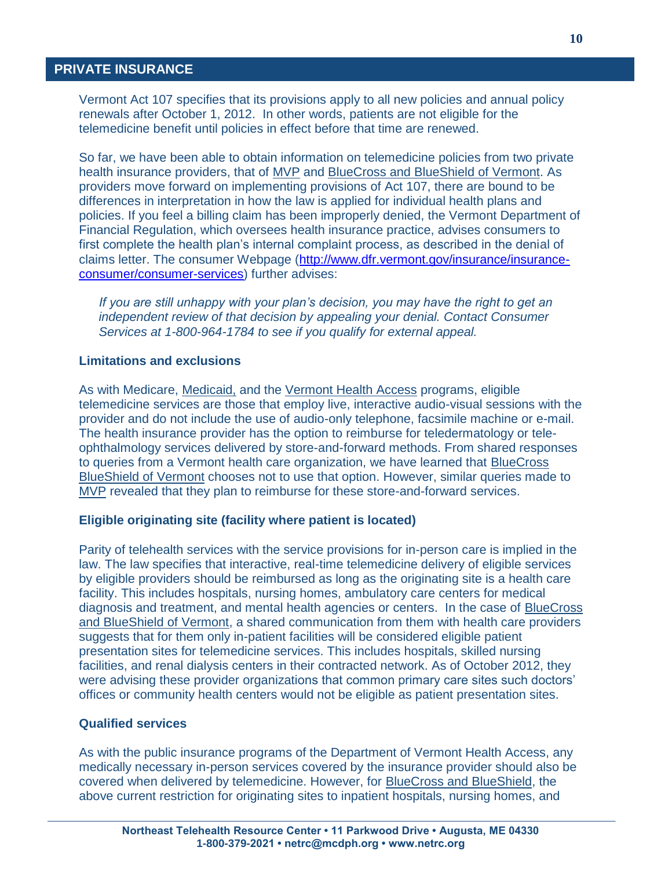# **PRIVATE INSURANCE PRIVATE**

Vermont Act 107 specifies that its provisions apply to all new policies and annual policy renewals after October 1, 2012. In other words, patients are not eligible for the telemedicine benefit until policies in effect before that time are renewed.

So far, we have been able to obtain information on telemedicine policies from two private health insurance providers, that of MVP and BlueCross and BlueShield of Vermont. As providers move forward on implementing provisions of Act 107, there are bound to be differences in interpretation in how the law is applied for individual health plans and policies. If you feel a billing claim has been improperly denied, the Vermont Department of Financial Regulation, which oversees health insurance practice, advises consumers to first complete the health plan's internal complaint process, as described in the denial of claims letter. The consumer Webpage [\(http://www.dfr.vermont.gov/insurance/insurance](http://www.dfr.vermont.gov/insurance/insurance-consumer/consumer-services)[consumer/consumer-services\)](http://www.dfr.vermont.gov/insurance/insurance-consumer/consumer-services) further advises:

*If you are still unhappy with your plan's decision, you may have the right to get an independent review of that decision by [appealing your denial.](http://www.dfr.vermont.gov/insurance/insurance-consumer/appealing-denial-benefits-independent-external-review) Contact Consumer Services at 1-800-964-1784 to see if you qualify for external appeal.*

#### **Limitations and exclusions**

As with Medicare, Medicaid, and the Vermont Health Access programs, eligible telemedicine services are those that employ live, interactive audio-visual sessions with the provider and do not include the use of audio-only telephone, facsimile machine or e-mail. The health insurance provider has the option to reimburse for teledermatology or teleophthalmology services delivered by store-and-forward methods. From shared responses to queries from a Vermont health care organization, we have learned that BlueCross BlueShield of Vermont chooses not to use that option. However, similar queries made to MVP revealed that they plan to reimburse for these store-and-forward services.

#### **Eligible originating site (facility where patient is located)**

Parity of telehealth services with the service provisions for in-person care is implied in the law. The law specifies that interactive, real-time telemedicine delivery of eligible services by eligible providers should be reimbursed as long as the originating site is a health care facility. This includes hospitals, nursing homes, ambulatory care centers for medical diagnosis and treatment, and mental health agencies or centers. In the case of BlueCross and BlueShield of Vermont, a shared communication from them with health care providers suggests that for them only in-patient facilities will be considered eligible patient presentation sites for telemedicine services. This includes hospitals, skilled nursing facilities, and renal dialysis centers in their contracted network. As of October 2012, they were advising these provider organizations that common primary care sites such doctors' offices or community health centers would not be eligible as patient presentation sites.

#### **Qualified services**

As with the public insurance programs of the Department of Vermont Health Access, any medically necessary in-person services covered by the insurance provider should also be covered when delivered by telemedicine. However, for BlueCross and BlueShield, the above current restriction for originating sites to inpatient hospitals, nursing homes, and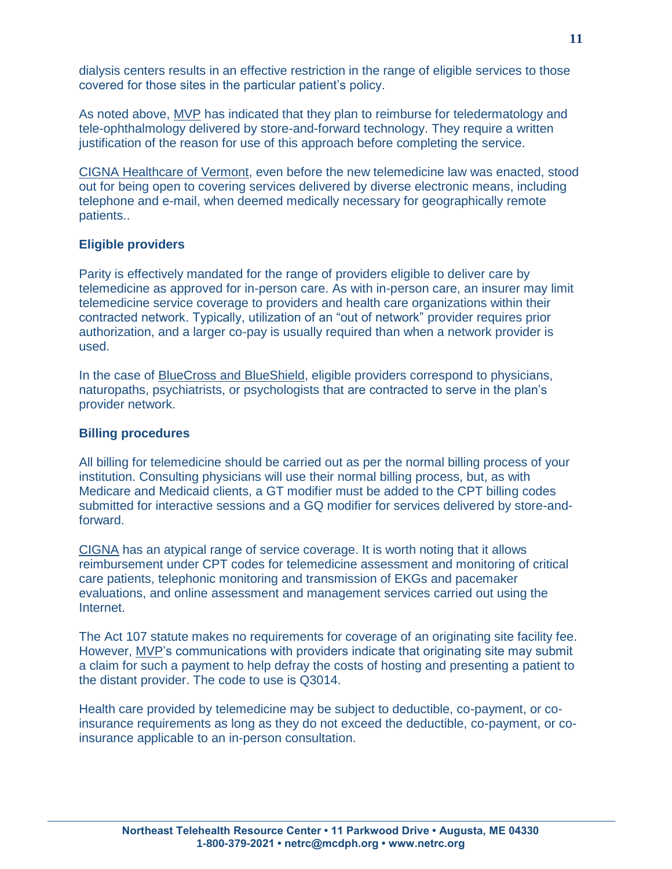dialysis centers results in an effective restriction in the range of eligible services to those covered for those sites in the particular patient's policy.

As noted above, MVP has indicated that they plan to reimburse for teledermatology and tele-ophthalmology delivered by store-and-forward technology. They require a written justification of the reason for use of this approach before completing the service.

CIGNA Healthcare of Vermont, even before the new telemedicine law was enacted, stood out for being open to covering services delivered by diverse electronic means, including telephone and e-mail, when deemed medically necessary for geographically remote patients..

# **Eligible providers**

Parity is effectively mandated for the range of providers eligible to deliver care by telemedicine as approved for in-person care. As with in-person care, an insurer may limit telemedicine service coverage to providers and health care organizations within their contracted network. Typically, utilization of an "out of network" provider requires prior authorization, and a larger co-pay is usually required than when a network provider is used.

In the case of BlueCross and BlueShield, eligible providers correspond to physicians, naturopaths, psychiatrists, or psychologists that are contracted to serve in the plan's provider network.

# **Billing procedures**

All billing for telemedicine should be carried out as per the normal billing process of your institution. Consulting physicians will use their normal billing process, but, as with Medicare and Medicaid clients, a GT modifier must be added to the CPT billing codes submitted for interactive sessions and a GQ modifier for services delivered by store-andforward.

CIGNA has an atypical range of service coverage. It is worth noting that it allows reimbursement under CPT codes for telemedicine assessment and monitoring of critical care patients, telephonic monitoring and transmission of EKGs and pacemaker evaluations, and online assessment and management services carried out using the Internet.

The Act 107 statute makes no requirements for coverage of an originating site facility fee. However, MVP's communications with providers indicate that originating site may submit a claim for such a payment to help defray the costs of hosting and presenting a patient to the distant provider. The code to use is Q3014.

Health care provided by telemedicine may be subject to deductible, co-payment, or coinsurance requirements as long as they do not exceed the deductible, co-payment, or coinsurance applicable to an in-person consultation.